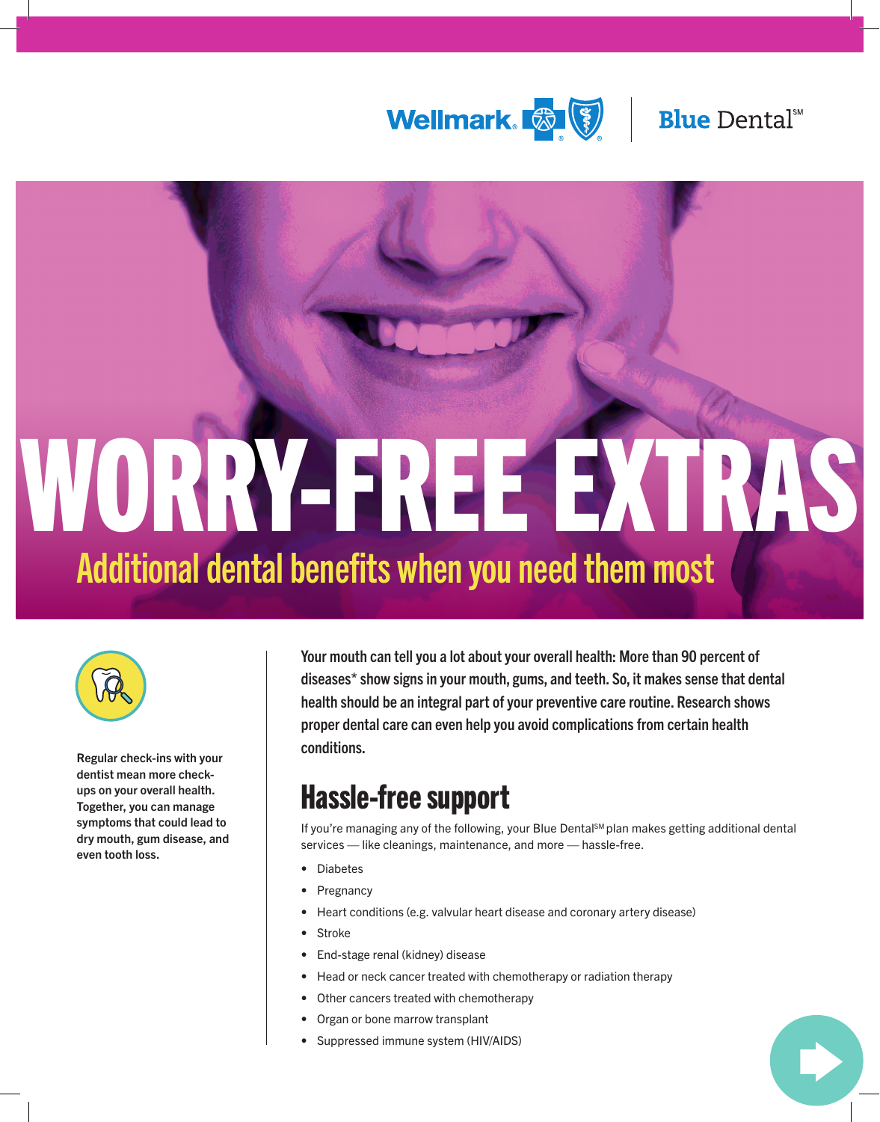



# WORRY-FREE EXTRAS Additional dental benefits when you need them most



Regular check-ins with your dentist mean more checkups on your overall health. Together, you can manage symptoms that could lead to dry mouth, gum disease, and even tooth loss.

Your mouth can tell you a lot about your overall health: More than 90 percent of disease[s\\*](#page-1-0) show signs in your mouth, gums, and teeth. So, it makes sense that dental health should be an integral part of your preventive care routine. Research shows proper dental care can even help you avoid complications from certain health conditions.

## Hassle-free support

If you're managing any of the following, your Blue Dental<sup>sM</sup> plan makes getting additional dental services — like cleanings, maintenance, and more — hassle-free.

- **Diabetes**
- **Pregnancy**
- Heart conditions (e.g. valvular heart disease and coronary artery disease)
- **Stroke**
- End-stage renal (kidney) disease
- Head or neck cancer treated with chemotherapy or radiation therapy
- Other cancers treated with chemotherapy
- Organ or bone marrow transplant
- Suppressed immune system (HIV/AIDS)